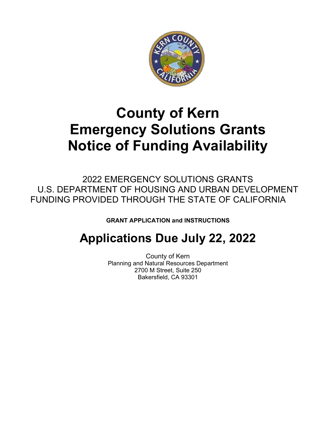

## **County of Kern Emergency Solutions Grants Notice of Funding Availability**

2022 EMERGENCY SOLUTIONS GRANTS U.S. DEPARTMENT OF HOUSING AND URBAN DEVELOPMENT FUNDING PROVIDED THROUGH THE STATE OF CALIFORNIA

**GRANT APPLICATION and INSTRUCTIONS**

## **Applications Due July 22, 2022**

County of Kern Planning and Natural Resources Department 2700 M Street, Suite 250 Bakersfield, CA 93301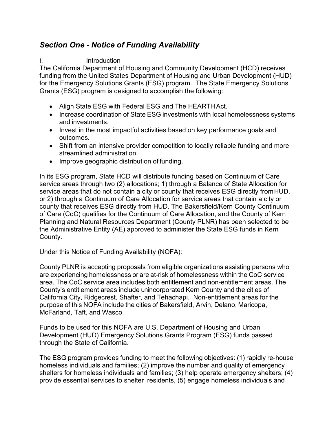## *Section One - Notice of Funding Availability*

#### I. Introduction

The California Department of Housing and Community Development (HCD) receives funding from the United States Department of Housing and Urban Development (HUD) for the Emergency Solutions Grants (ESG) program. The State Emergency Solutions Grants (ESG) program is designed to accomplish the following:

- Align State ESG with Federal ESG and The HEARTH Act.
- Increase coordination of State ESG investments with local homelessness systems and investments.
- Invest in the most impactful activities based on key performance goals and outcomes.
- Shift from an intensive provider competition to locally reliable funding and more streamlined administration.
- Improve geographic distribution of funding.

In its ESG program, State HCD will distribute funding based on Continuum of Care service areas through two (2) allocations; 1) through a Balance of State Allocation for service areas that do not contain a city or county that receives ESG directly fromHUD, or 2) through a Continuum of Care Allocation for service areas that contain a city or county that receives ESG directly from HUD. The Bakersfield/Kern County Continuum of Care (CoC) qualifies for the Continuum of Care Allocation, and the County of Kern Planning and Natural Resources Department (County PLNR) has been selected to be the Administrative Entity (AE) approved to administer the State ESG funds in Kern County.

Under this Notice of Funding Availability (NOFA):

County PLNR is accepting proposals from eligible organizations assisting persons who are experiencing homelessness or are at-risk of homelessness within the CoC service area. The CoC service area includes both entitlement and non-entitlement areas. The County's entitlement areas include unincorporated Kern County and the cities of California City, Ridgecrest, Shafter, and Tehachapi. Non-entitlement areas for the purpose of this NOFA include the cities of Bakersfield, Arvin, Delano, Maricopa, McFarland, Taft, and Wasco.

Funds to be used for this NOFA are U.S. Department of Housing and Urban Development (HUD) Emergency Solutions Grants Program (ESG) funds passed through the State of California.

The ESG program provides funding to meet the following objectives: (1) rapidly re-house homeless individuals and families; (2) improve the number and quality of emergency shelters for homeless individuals and families; (3) help operate emergency shelters; (4) provide essential services to shelter residents, (5) engage homeless individuals and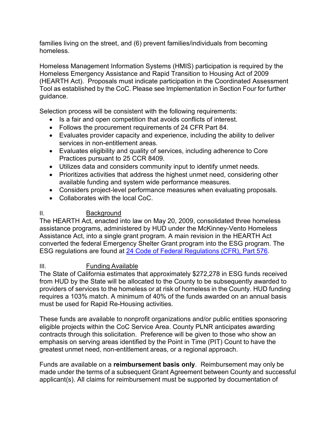families living on the street, and (6) prevent families/individuals from becoming homeless.

Homeless Management Information Systems (HMIS) participation is required by the Homeless Emergency Assistance and Rapid Transition to Housing Act of 2009 (HEARTH Act). Proposals must indicate participation in the Coordinated Assessment Tool as established by the CoC. Please see Implementation in Section Four for further guidance.

Selection process will be consistent with the following requirements:

- Is a fair and open competition that avoids conflicts of interest.
- Follows the procurement requirements of 24 CFR Part 84.
- Evaluates provider capacity and experience, including the ability to deliver services in non-entitlement areas.
- Evaluates eligibility and quality of services, including adherence to Core Practices pursuant to 25 CCR 8409.
- Utilizes data and considers community input to identify unmet needs.
- Prioritizes activities that address the highest unmet need, considering other available funding and system wide performance measures.
- Considers project-level performance measures when evaluating proposals.
- Collaborates with the local CoC.

#### II. Background

The HEARTH Act, enacted into law on May 20, 2009, consolidated three homeless assistance programs, administered by HUD under the McKinney-Vento Homeless Assistance Act, into a single grant program. A main revision in the HEARTH Act converted the federal Emergency Shelter Grant program into the ESG program. The ESG regulations are found at [24 Code of Federal Regulations \(CFR\), Part 576.](http://www.ecfr.gov/cgi-bin/text-idx?SID=f85d0bab9faeb1a070af8cb64c5ca084&amp%3Bnode=pt24.3.576&amp%3Brgn=div5)

### III. Funding Available

The State of California estimates that approximately \$272,278 in ESG funds received from HUD by the State will be allocated to the County to be subsequently awarded to providers of services to the homeless or at risk of homeless in the County. HUD funding requires a 103% match. A minimum of 40% of the funds awarded on an annual basis must be used for Rapid Re-Housing activities.

These funds are available to nonprofit organizations and/or public entities sponsoring eligible projects within the CoC Service Area. County PLNR anticipates awarding contracts through this solicitation. Preference will be given to those who show an emphasis on serving areas identified by the Point in Time (PIT) Count to have the greatest unmet need, non-entitlement areas, or a regional approach.

Funds are available on a **reimbursement basis only**. Reimbursement may only be made under the terms of a subsequent Grant Agreement between County and successful applicant(s). All claims for reimbursement must be supported by documentation of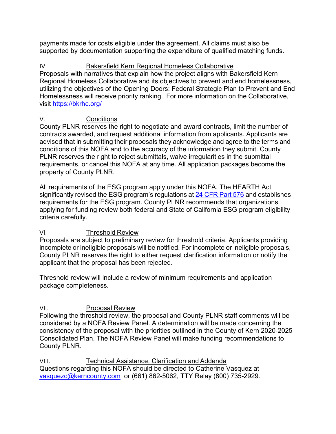payments made for costs eligible under the agreement. All claims must also be supported by documentation supporting the expenditure of qualified matching funds.

## IV. Bakersfield Kern Regional Homeless Collaborative

Proposals with narratives that explain how the project aligns with Bakersfield Kern Regional Homeless Collaborative and its objectives to prevent and end homelessness, utilizing the objectives of the Opening Doors: Federal Strategic Plan to Prevent and End Homelessness will receive priority ranking. For more information on the Collaborative, visit <https://bkrhc.org/>

### V. Conditions

County PLNR reserves the right to negotiate and award contracts, limit the number of contracts awarded, and request additional information from applicants. Applicants are advised that in submitting their proposals they acknowledge and agree to the terms and conditions of this NOFA and to the accuracy of the information they submit. County PLNR reserves the right to reject submittals, waive irregularities in the submittal requirements, or cancel this NOFA at any time. All application packages become the property of County PLNR.

All requirements of the ESG program apply under this NOFA. The HEARTH Act significantly revised the ESG program's regulations at 24 [CFR](http://www.ecfr.gov/cgi-bin/text-idx?SID=f85d0bab9faeb1a070af8cb64c5ca084&amp%3Bnode=pt24.3.576&amp%3Brgn=div5) Part 576 and establishes requirements for the ESG program. County PLNR recommends that organizations applying for funding review both federal and State of California ESG program eligibility criteria carefully.

### VI. Threshold Review

Proposals are subject to preliminary review for threshold criteria. Applicants providing incomplete or ineligible proposals will be notified. For incomplete or ineligible proposals, County PLNR reserves the right to either request clarification information or notify the applicant that the proposal has been rejected.

Threshold review will include a review of minimum requirements and application package completeness.

## VII. Proposal Review

Following the threshold review, the proposal and County PLNR staff comments will be considered by a NOFA Review Panel. A determination will be made concerning the consistency of the proposal with the priorities outlined in the County of Kern 2020-2025 Consolidated Plan. The NOFA Review Panel will make funding recommendations to County PLNR.

VIII. Technical Assistance, Clarification and Addenda Questions regarding this NOFA should be directed to Catherine Vasquez at [vasquezc@kerncounty.com](mailto:vasquezc@kerncounty.com) or (661) 862-5062, TTY Relay (800) 735-2929.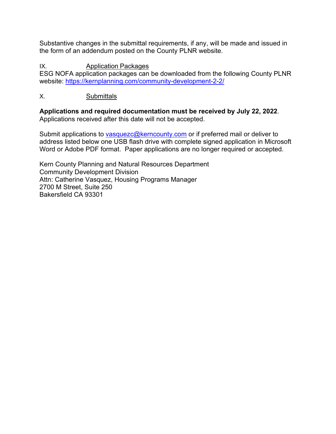Substantive changes in the submittal requirements, if any, will be made and issued in the form of an addendum posted on the County PLNR website.

IX. Application Packages

ESG NOFA application packages can be downloaded from the following County PLNR website:<https://kernplanning.com/community-development-2-2/>

## X. Submittals

**Applications and required documentation must be received by July 22, 2022**. Applications received after this date will not be accepted.

Submit applications to [vasquezc@kerncounty.com](mailto:vasquezc@kerncounty.com) or if preferred mail or deliver to address listed below one USB flash drive with complete signed application in Microsoft Word or Adobe PDF format. Paper applications are no longer required or accepted.

Kern County Planning and Natural Resources Department Community Development Division Attn: Catherine Vasquez, Housing Programs Manager 2700 M Street, Suite 250 Bakersfield CA 93301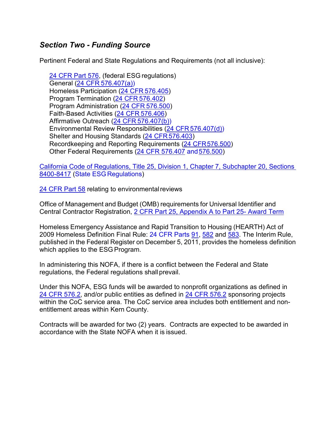## *Section Two - Funding Source*

Pertinent Federal and State Regulations and Requirements (not all inclusive):

[24 CFR Part 576,](http://www.ecfr.gov/cgi-bin/text-idx?SID=f85d0bab9faeb1a070af8cb64c5ca084&amp%3Bnode=pt24.3.576&amp%3Brgn=div5) (federal ESG regulations) General (24 CFR [576.407\(a\)\)](http://www.ecfr.gov/cgi-bin/text-idx?SID=f85d0bab9faeb1a070af8cb64c5ca084&amp%3Bnode=pt24.3.576&amp%3Brgn=div5%23se24.3.576_1407) Homeless Participation (24 CFR [576.405\)](http://www.ecfr.gov/cgi-bin/text-idx?SID=f85d0bab9faeb1a070af8cb64c5ca084&amp%3Bnode=pt24.3.576&amp%3Brgn=div5%23se24.3.576_1405) Program Termination (24 CFR [576.402\)](http://www.ecfr.gov/cgi-bin/text-idx?SID=f85d0bab9faeb1a070af8cb64c5ca084&amp%3Bnode=pt24.3.576&amp%3Brgn=div5%23se24.3.576_1402) Program Administration (24 CFR [576.500\)](http://www.ecfr.gov/cgi-bin/text-idx?SID=f85d0bab9faeb1a070af8cb64c5ca084&amp%3Bnode=pt24.3.576&amp%3Brgn=div5%23se24.3.576_1500) Faith-Based Activities (24 CFR [576.406\)](http://www.ecfr.gov/cgi-bin/text-idx?SID=f85d0bab9faeb1a070af8cb64c5ca084&amp%3Bnode=pt24.3.576&amp%3Brgn=div5%23se24.3.576_1406) Affirmative Outreach (24 CFR [576.407\(b\)\)](http://www.ecfr.gov/cgi-bin/text-idx?SID=f85d0bab9faeb1a070af8cb64c5ca084&amp%3Bnode=pt24.3.576&amp%3Brgn=div5%23se24.3.576_1407) Environmental Review Responsibilities (24 CFR [576.407\(d\)\)](http://www.ecfr.gov/cgi-bin/text-idx?SID=f85d0bab9faeb1a070af8cb64c5ca084&amp%3Bnode=pt24.3.576&amp%3Brgn=div5%23se24.3.576_1407) Shelter and Housing Standards (24 CFR [576.403\)](http://www.ecfr.gov/cgi-bin/text-idx?SID=f85d0bab9faeb1a070af8cb64c5ca084&amp%3Bnode=pt24.3.576&amp%3Brgn=div5%23se24.3.576_1403) Recordkeeping and Reporting Requirements [\(24 CFR576.500\)](http://www.ecfr.gov/cgi-bin/text-idx?SID=f85d0bab9faeb1a070af8cb64c5ca084&amp%3Bnode=pt24.3.576&amp%3Brgn=div5%23se24.3.576_1500) Other Federal Requirements [\(24 CFR 576.407](http://www.ecfr.gov/cgi-bin/text-idx?SID=f85d0bab9faeb1a070af8cb64c5ca084&amp%3Bnode=pt24.3.576&amp%3Brgn=div5%23se24.3.576_1407) and 576.500)

[California Code of Regulations, Title 25, Division 1, Chapter 7, Subchapter 20,](https://govt.westlaw.com/calregs/Browse/Home/California/CaliforniaCodeofRegulations?guid=I69448360D45511DEB97CF67CD0B99467&amp%3BoriginationContext=documenttoc&amp%3BtransitionType=Default&amp%3BcontextData=(sc.Default)) [Sections](https://govt.westlaw.com/calregs/Browse/Home/California/CaliforniaCodeofRegulations?guid=I69448360D45511DEB97CF67CD0B99467&amp%3BoriginationContext=documenttoc&amp%3BtransitionType=Default&amp%3BcontextData=(sc.Default))  [8400-8417](https://govt.westlaw.com/calregs/Browse/Home/California/CaliforniaCodeofRegulations?guid=I69448360D45511DEB97CF67CD0B99467&amp%3BoriginationContext=documenttoc&amp%3BtransitionType=Default&amp%3BcontextData=(sc.Default)) (State ESG Regulations)

24 CFR Part 58 relating to environmental reviews

Office of Management and Budget (OMB) requirements for Universal Identifier and Central Contractor Registration, [2 CFR Part 25, Appendix A to](http://www.ecfr.gov/cgi-bin/text-idx?SID=05c4cd1d1f8f70e6381e0c3bed767a80&amp%3Bmc=true&amp%3Bnode=pt2.1.25&amp%3Brgn=div5%23ap2.1.25_1360.a) Part 25- [Award](http://www.ecfr.gov/cgi-bin/text-idx?SID=05c4cd1d1f8f70e6381e0c3bed767a80&amp%3Bmc=true&amp%3Bnode=pt2.1.25&amp%3Brgn=div5%23ap2.1.25_1360.a) [Term](http://www.ecfr.gov/cgi-bin/text-idx?SID=05c4cd1d1f8f70e6381e0c3bed767a80&amp%3Bmc=true&amp%3Bnode=pt2.1.25&amp%3Brgn=div5%23ap2.1.25_1360.a)

Homeless Emergency Assistance and Rapid Transition to Housing (HEARTH) Act of 2009 Homeless Definition Final Rule: 24 CFR Parts [91,](http://www.ecfr.gov/cgi-bin/text-idx?SID=05c4cd1d1f8f70e6381e0c3bed767a80&amp%3Bmc=true&amp%3Bnode=pt24.1.91&amp%3Brgn=div5) [582](http://www.ecfr.gov/cgi-bin/text-idx?SID=05c4cd1d1f8f70e6381e0c3bed767a80&amp%3Bmc=true&amp%3Bnode=pt24.3.582&amp%3Brgn=div5) and [583.](http://www.ecfr.gov/cgi-bin/text-idx?SID=05c4cd1d1f8f70e6381e0c3bed767a80&amp%3Bmc=true&amp%3Bnode=pt24.3.583&amp%3Brgn=div5) The Interim Rule, published in the Federal Register on December 5, 2011, provides the homeless definition which applies to the ESG Program.

In administering this NOFA, if there is a conflict between the Federal and State regulations, the Federal regulations shall prevail.

Under this NOFA, ESG funds will be awarded to nonprofit organizations as defined in [24 CFR](http://www.ecfr.gov/cgi-bin/text-idx?SID=05c4cd1d1f8f70e6381e0c3bed767a80&amp%3Bmc=true&amp%3Bnode=pt24.3.576&amp%3Brgn=div5%23se24.3.576_12) 576.2, and/or public entities as defined in [24 CFR 576.2](http://www.ecfr.gov/cgi-bin/text-idx?SID=05c4cd1d1f8f70e6381e0c3bed767a80&amp%3Bmc=true&amp%3Bnode=pt24.3.576&amp%3Brgn=div5%23se24.3.576_12) sponsoring projects within the CoC service area. The CoC service area includes both entitlement and nonentitlement areas within Kern County.

Contracts will be awarded for two (2) years. Contracts are expected to be awarded in accordance with the State NOFA when it is issued.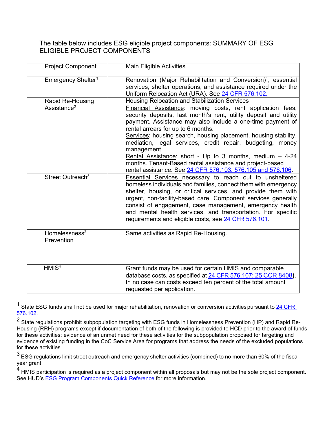The table below includes ESG eligible project components: SUMMARY OF ESG ELIGIBLE PROJECT COMPONENTS

| <b>Project Component</b>                    | <b>Main Eligible Activities</b>                                                                                                                                                                                                                                                                                                                                                                                                                                                                                                                                                                                              |
|---------------------------------------------|------------------------------------------------------------------------------------------------------------------------------------------------------------------------------------------------------------------------------------------------------------------------------------------------------------------------------------------------------------------------------------------------------------------------------------------------------------------------------------------------------------------------------------------------------------------------------------------------------------------------------|
| Emergency Shelter <sup>1</sup>              | Renovation (Major Rehabilitation and Conversion) <sup>1</sup> , essential<br>services, shelter operations, and assistance required under the<br>Uniform Relocation Act (URA). See 24 CFR 576.102.                                                                                                                                                                                                                                                                                                                                                                                                                            |
| Rapid Re-Housing<br>Assistance <sup>2</sup> | Housing Relocation and Stabilization Services<br>Financial Assistance: moving costs, rent application fees,<br>security deposits, last month's rent, utility deposit and utility<br>payment. Assistance may also include a one-time payment of<br>rental arrears for up to 6 months.<br>Services: housing search, housing placement, housing stability,<br>mediation, legal services, credit repair, budgeting, money<br>management.<br>Rental Assistance: short - Up to 3 months, medium $-4-24$<br>months. Tenant-Based rental assistance and project-based<br>rental assistance. See 24 CFR 576.103, 576.105 and 576.106. |
| Street Outreach <sup>3</sup>                | <b>Essential Services necessary to reach out to unsheltered</b><br>homeless individuals and families, connect them with emergency<br>shelter, housing, or critical services, and provide them with<br>urgent, non-facility-based care. Component services generally<br>consist of engagement, case management, emergency health<br>and mental health services, and transportation. For specific<br>requirements and eligible costs, see 24 CFR 576.101.                                                                                                                                                                      |
| Homelessness $2$<br>Prevention              | Same activities as Rapid Re-Housing.                                                                                                                                                                                                                                                                                                                                                                                                                                                                                                                                                                                         |
| HMIS <sup>4</sup>                           | Grant funds may be used for certain HMIS and comparable<br>database costs, as specified at 24 CFR 576.107; 25 CCR 8408).<br>In no case can costs exceed ten percent of the total amount<br>requested per application.                                                                                                                                                                                                                                                                                                                                                                                                        |

 $1$  State ESG funds shall not be used for major rehabilitation, renovation or conversion activities pursuant to  $24$  CFR [576.102.](http://www.ecfr.gov/cgi-bin/text-idx?SID=05c4cd1d1f8f70e6381e0c3bed767a80&amp%3Bmc=true&amp%3Bnode=pt24.3.576&amp%3Brgn=div5%23se24.3.576_1102)

 $\overline{2}$  State regulations prohibit subpopulation targeting with ESG funds in Homelessness Prevention (HP) and Rapid Re-Housing (RRH) programs except if documentation of both of the following is provided to HCD prior to the award of funds for these activities: evidence of an unmet need for these activities for the subpopulation proposed for targeting and evidence of existing funding in the CoC Service Area for programs that address the needs of the excluded populations for these activities.

 $3$  ESG regulations limit street outreach and emergency shelter activities (combined) to no more than 60% of the fiscal year grant.

 $4$  HMIS participation is required as a project component within all proposals but may not be the sole project component. See HUD's [ESG Program Components Quick Reference fo](https://www.hudexchange.info/resources/documents/ESG-Program-Components-Quick-Reference.pdf)r more information.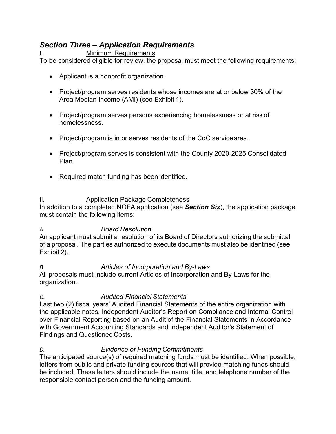## *Section Three – Application Requirements*

#### **Minimum Requirements**

To be considered eligible for review, the proposal must meet the following requirements:

- Applicant is a nonprofit organization.
- Project/program serves residents whose incomes are at or below 30% of the Area Median Income (AMI) (see Exhibit 1).
- Project/program serves persons experiencing homelessness or at risk of homelessness.
- Project/program is in or serves residents of the CoC servicearea.
- Project/program serves is consistent with the County 2020-2025 Consolidated Plan.
- Required match funding has been identified.

#### II. Application Package Completeness

In addition to a completed NOFA application (see *Section Six*), the application package must contain the following items:

#### *A. Board Resolution*

An applicant must submit a resolution of its Board of Directors authorizing the submittal of a proposal. The parties authorized to execute documents must also be identified (see Exhibit 2).

### *B. Articles of Incorporation and By-Laws*

All proposals must include current Articles of Incorporation and By-Laws for the organization.

### *C. Audited Financial Statements*

Last two (2) fiscal years' Audited Financial Statements of the entire organization with the applicable notes, Independent Auditor's Report on Compliance and Internal Control over Financial Reporting based on an Audit of the Financial Statements in Accordance with Government Accounting Standards and Independent Auditor's Statement of Findings and Questioned Costs.

### *D. Evidence of Funding Commitments*

The anticipated source(s) of required matching funds must be identified. When possible, letters from public and private funding sources that will provide matching funds should be included. These letters should include the name, title, and telephone number of the responsible contact person and the funding amount.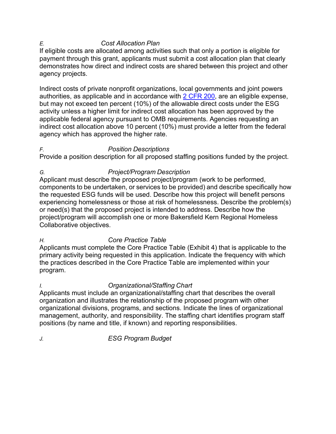#### *E. Cost Allocation Plan*

If eligible costs are allocated among activities such that only a portion is eligible for payment through this grant, applicants must submit a cost allocation plan that clearly demonstrates how direct and indirect costs are shared between this project and other agency projects.

Indirect costs of private nonprofit organizations, local governments and joint powers authorities, as applicable and in accordance with [2 CFR 200,](http://www.ecfr.gov/cgi-bin/text-idx?SID=c19d0e5f6415c2cd6d25cfb6af4c4e1b&amp%3Bmc=true&amp%3Bnode=pt2.1.200&amp%3Brgn=div5) are an eligible expense, but may not exceed ten percent (10%) of the allowable direct costs under the ESG activity unless a higher limit for indirect cost allocation has been approved by the applicable federal agency pursuant to OMB requirements. Agencies requesting an indirect cost allocation above 10 percent (10%) must provide a letter from the federal agency which has approved the higher rate.

#### *F. Position Descriptions*

Provide a position description for all proposed staffing positions funded by the project.

### *G. Project/Program Description*

Applicant must describe the proposed project/program (work to be performed, components to be undertaken, or services to be provided) and describe specifically how the requested ESG funds will be used. Describe how this project will benefit persons experiencing homelessness or those at risk of homelessness. Describe the problem(s) or need(s) that the proposed project is intended to address. Describe how the project/program will accomplish one or more Bakersfield Kern Regional Homeless Collaborative objectives.

### *H. Core Practice Table*

Applicants must complete the Core Practice Table (Exhibit 4) that is applicable to the primary activity being requested in this application. Indicate the frequency with which the practices described in the Core Practice Table are implemented within your program.

*I. Organizational/Staffing Chart*

Applicants must include an organizational/staffing chart that describes the overall organization and illustrates the relationship of the proposed program with other organizational divisions, programs, and sections. Indicate the lines of organizational management, authority, and responsibility. The staffing chart identifies program staff positions (by name and title, if known) and reporting responsibilities.

*J. ESG Program Budget*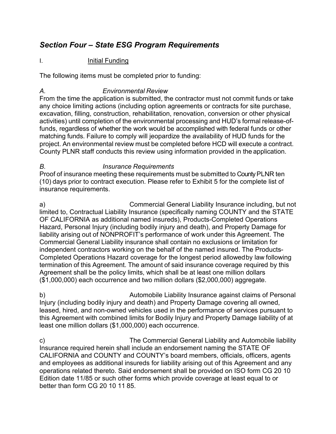## *Section Four – State ESG Program Requirements*

#### I. **Initial Funding**

The following items must be completed prior to funding:

#### *A. Environmental Review*

From the time the application is submitted, the contractor must not commit funds or take any choice limiting actions (including option agreements or contracts for site purchase, excavation, filling, construction, rehabilitation, renovation, conversion or other physical activities) until completion of the environmental processing and HUD's formal release-offunds, regardless of whether the work would be accomplished with federal funds or other matching funds. Failure to comply will jeopardize the availability of HUD funds for the project. An environmental review must be completed before HCD will execute a contract. County PLNR staff conducts this review using information provided in the application.

#### *B. Insurance Requirements*

Proof of insurance meeting these requirements must be submitted to County PLNR ten (10) days prior to contract execution. Please refer to Exhibit 5 for the complete list of insurance requirements.

a) Commercial General Liability Insurance including, but not limited to, Contractual Liability Insurance (specifically naming COUNTY and the STATE OF CALIFORNIA as additional named insureds), Products-Completed Operations Hazard, Personal Injury (including bodily injury and death), and Property Damage for liability arising out of NONPROFIT's performance of work under this Agreement. The Commercial General Liability insurance shall contain no exclusions or limitation for independent contractors working on the behalf of the named insured. The Products-Completed Operations Hazard coverage for the longest period allowedby law following termination of this Agreement. The amount of said insurance coverage required by this Agreement shall be the policy limits, which shall be at least one million dollars (\$1,000,000) each occurrence and two million dollars (\$2,000,000) aggregate.

b) Automobile Liability Insurance against claims of Personal Injury (including bodily injury and death) and Property Damage covering all owned, leased, hired, and non-owned vehicles used in the performance of services pursuant to this Agreement with combined limits for Bodily Injury and Property Damage liability of at least one million dollars (\$1,000,000) each occurrence.

c) The Commercial General Liability and Automobile liability Insurance required herein shall include an endorsement naming the STATE OF CALIFORNIA and COUNTY and COUNTY's board members, officials, officers, agents and employees as additional insureds for liability arising out of this Agreement and any operations related thereto. Said endorsement shall be provided on ISO form CG 20 10 Edition date 11/85 or such other forms which provide coverage at least equal to or better than form CG 20 10 11 85.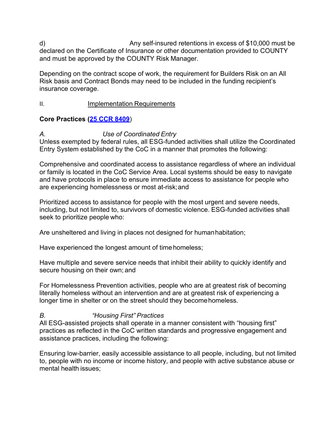d) Any self-insured retentions in excess of \$10,000 must be declared on the Certificate of Insurance or other documentation provided to COUNTY and must be approved by the COUNTY Risk Manager.

Depending on the contract scope of work, the requirement for Builders Risk on an All Risk basis and Contract Bonds may need to be included in the funding recipient's insurance coverage.

#### II. Implementation Requirements

### **Core Practices [\(25 CCR 8409](https://govt.westlaw.com/calregs/Document/I53153D4C91CC4E299A97467973BF1606?viewType=FullText&amp%3BoriginationContext=documenttoc&amp%3BtransitionType=CategoryPageItem&amp%3BcontextData=(sc.Default))**)

### *A. Use of Coordinated Entry*

Unless exempted by federal rules, all ESG-funded activities shall utilize the Coordinated Entry System established by the CoC in a manner that promotes the following:

Comprehensive and coordinated access to assistance regardless of where an individual or family is located in the CoC Service Area. Local systems should be easy to navigate and have protocols in place to ensure immediate access to assistance for people who are experiencing homelessness or most at-risk;and

Prioritized access to assistance for people with the most urgent and severe needs, including, but not limited to, survivors of domestic violence. ESG-funded activities shall seek to prioritize people who:

Are unsheltered and living in places not designed for humanhabitation;

Have experienced the longest amount of time homeless;

Have multiple and severe service needs that inhibit their ability to quickly identify and secure housing on their own; and

For Homelessness Prevention activities, people who are at greatest risk of becoming literally homeless without an intervention and are at greatest risk of experiencing a longer time in shelter or on the street should they become homeless.

### *B. "Housing First" Practices*

All ESG-assisted projects shall operate in a manner consistent with "housing first" practices as reflected in the CoC written standards and progressive engagement and assistance practices, including the following:

Ensuring low-barrier, easily accessible assistance to all people, including, but not limited to, people with no income or income history, and people with active substance abuse or mental health issues;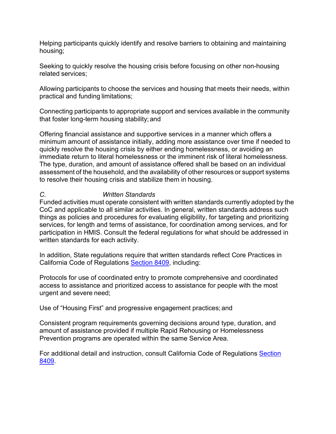Helping participants quickly identify and resolve barriers to obtaining and maintaining housing;

Seeking to quickly resolve the housing crisis before focusing on other non-housing related services;

Allowing participants to choose the services and housing that meets their needs, within practical and funding limitations;

Connecting participants to appropriate support and services available in the community that foster long-term housing stability; and

Offering financial assistance and supportive services in a manner which offers a minimum amount of assistance initially, adding more assistance over time if needed to quickly resolve the housing crisis by either ending homelessness, or avoiding an immediate return to literal homelessness or the imminent risk of literal homelessness. The type, duration, and amount of assistance offered shall be based on an individual assessment of the household, and the availability of other resources or support systems to resolve their housing crisis and stabilize them in housing.

#### *C. Written Standards*

Funded activities must operate consistent with written standards currently adopted by the CoC and applicable to all similar activities. In general, written standards address such things as policies and procedures for evaluating eligibility, for targeting and prioritizing services, for length and terms of assistance, for coordination among services, and for participation in HMIS. Consult the federal regulations for what should be addressed in written standards for each activity.

In addition, State regulations require that written standards reflect Core Practices in California Code of Regulations [Section 8409,](https://govt.westlaw.com/calregs/Document/I53153D4C91CC4E299A97467973BF1606?viewType=FullText&amp%3BoriginationContext=documenttoc&amp%3BtransitionType=CategoryPageItem&amp%3BcontextData=(sc.Default)) including:

Protocols for use of coordinated entry to promote comprehensive and coordinated access to assistance and prioritized access to assistance for people with the most urgent and severe need;

Use of "Housing First" and progressive engagement practices;and

Consistent program requirements governing decisions around type, duration, and amount of assistance provided if multiple Rapid Rehousing or Homelessness Prevention programs are operated within the same Service Area.

For additional detail and instruction, consult California Code of Regulations [Section](https://govt.westlaw.com/calregs/Document/I53153D4C91CC4E299A97467973BF1606?viewType=FullText&amp%3BoriginationContext=documenttoc&amp%3BtransitionType=CategoryPageItem&amp%3BcontextData=(sc.Default)) [8409.](https://govt.westlaw.com/calregs/Document/I53153D4C91CC4E299A97467973BF1606?viewType=FullText&amp%3BoriginationContext=documenttoc&amp%3BtransitionType=CategoryPageItem&amp%3BcontextData=(sc.Default))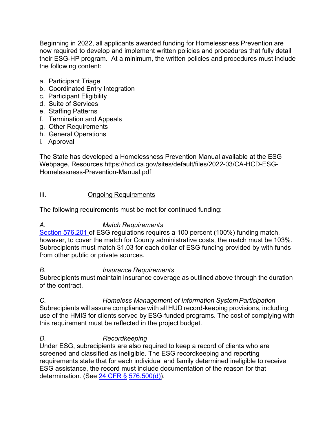Beginning in 2022, all applicants awarded funding for Homelessness Prevention are now required to develop and implement written policies and procedures that fully detail their ESG-HP program. At a minimum, the written policies and procedures must include the following content:

- a. Participant Triage
- b. Coordinated Entry Integration
- c. Participant Eligibility
- d. Suite of Services
- e. Staffing Patterns
- f. Termination and Appeals
- g. Other Requirements
- h. General Operations
- i. Approval

The State has developed a Homelessness Prevention Manual available at the ESG Webpage, Resources https://hcd.ca.gov/sites/default/files/2022-03/CA-HCD-ESG-Homelessness-Prevention-Manual.pdf

#### III. Ongoing Requirements

The following requirements must be met for continued funding:

### *A. Match Requirements*

[Section 576.201](http://www.ecfr.gov/cgi-bin/text-idx?SID=f85d0bab9faeb1a070af8cb64c5ca084&amp%3Bnode=pt24.3.576&amp%3Brgn=div5%23se24.3.576_1201) of ESG regulations requires a 100 percent (100%) funding match, however, to cover the match for County administrative costs, the match must be 103%. Subrecipients must match \$1.03 for each dollar of ESG funding provided by with funds from other public or private sources.

#### *B. Insurance Requirements*

Subrecipients must maintain insurance coverage as outlined above through the duration of the contract.

*C. Homeless Management of Information System Participation* Subrecipients will assure compliance with all HUD record-keeping provisions, including use of the HMIS for clients served by ESG-funded programs. The cost of complying with this requirement must be reflected in the project budget.

### *D. Recordkeeping*

Under ESG, subrecipients are also required to keep a record of clients who are screened and classified as ineligible. The ESG recordkeeping and reporting requirements state that for each individual and family determined ineligible to receive ESG assistance, the record must include documentation of the reason for that determination. (See  $24$  CFR §  $576.500(d)$ ).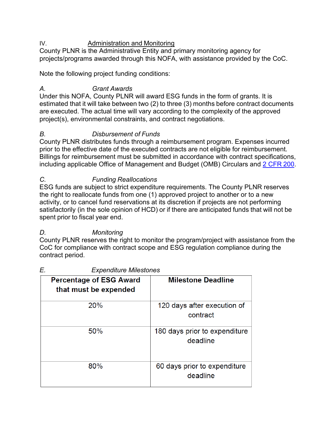#### IV. Administration and Monitoring

County PLNR is the Administrative Entity and primary monitoring agency for projects/programs awarded through this NOFA, with assistance provided by the CoC.

Note the following project funding conditions:

## *A. Grant Awards*

Under this NOFA, County PLNR will award ESG funds in the form of grants. It is estimated that it will take between two (2) to three (3) months before contract documents are executed. The actual time will vary according to the complexity of the approved project(s), environmental constraints, and contract negotiations.

## *B. Disbursement of Funds*

County PLNR distributes funds through a reimbursement program. Expenses incurred prior to the effective date of the executed contracts are not eligible for reimbursement. Billings for reimbursement must be submitted in accordance with contract specifications, including applicable Office of Management and Budget (OMB) Circulars and [2 CFR](http://www.ecfr.gov/cgi-bin/text-idx?SID=7a25b4895b6b08d487d3e4da8b89751d&amp%3Bmc=true&amp%3Bnode=pt2.1.200&amp%3Brgn=div5) 200.

### *C. Funding Reallocations*

ESG funds are subject to strict expenditure requirements. The County PLNR reserves the right to reallocate funds from one (1) approved project to another or to a new activity, or to cancel fund reservations at its discretion if projects are not performing satisfactorily (in the sole opinion of HCD) or if there are anticipated funds that will not be spent prior to fiscal year end.

## *D. Monitoring*

County PLNR reserves the right to monitor the program/project with assistance from the CoC for compliance with contract scope and ESG regulation compliance during the contract period.

| <b>Percentage of ESG Award</b><br>that must be expended | <b>Milestone Deadline</b>                 |
|---------------------------------------------------------|-------------------------------------------|
| 20%                                                     | 120 days after execution of<br>contract   |
| 50%                                                     | 180 days prior to expenditure<br>deadline |
| 80%                                                     | 60 days prior to expenditure<br>deadline  |

### *E. Expenditure Milestones*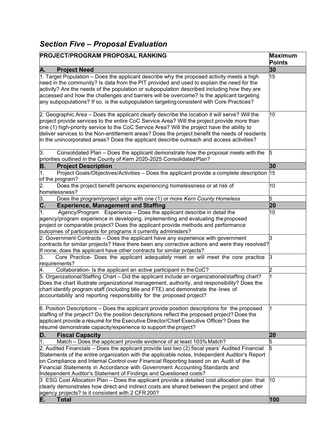## *Section Five – Proposal Evaluation*

| <b>PROJECT/PROGRAM PROPOSAL RANKING</b>                                                                                                                                                                                                                                                                                                                                                                                                                                                   | <b>Maximum</b><br><b>Points</b> |
|-------------------------------------------------------------------------------------------------------------------------------------------------------------------------------------------------------------------------------------------------------------------------------------------------------------------------------------------------------------------------------------------------------------------------------------------------------------------------------------------|---------------------------------|
| А.<br><b>Project Need</b>                                                                                                                                                                                                                                                                                                                                                                                                                                                                 | 30                              |
| 1. Target Population – Does the applicant describe why the proposed activity meets a high<br>need in the community? Is data from the PIT provided and used to explain the need for the<br>activity? Are the needs of the population or subpopulation described including how they are<br>accessed and how the challenges and barriers will be overcome? Is the applicant targeting<br>any subpopulations? If so, is the subpopulation targeting consistent with Core Practices?           | 15                              |
| 2. Geographic Area – Does the applicant clearly describe the location it will serve? Will the<br>project provide services to the entire CoC Service Area? Will the project provide more than<br>one (1) high-priority service to the CoC Service Area? Will the project have the ability to<br>deliver services to the Non-entitlement areas? Does the project benefit the needs of residents<br>in the unincorporated areas? Does the applicant describe outreach and access activities? | 10                              |
| 3.<br>Consolidated Plan - Does the applicant demonstrate how the proposal meets with the<br>5<br>priorities outlined in the County of Kern 2020-2025 Consolidated Plan?                                                                                                                                                                                                                                                                                                                   |                                 |
| <b>Project Description</b><br>В.                                                                                                                                                                                                                                                                                                                                                                                                                                                          | 30                              |
| 1.<br>Project Goals/Objectives/Activities – Does the applicant provide a complete description 15<br>of the program?                                                                                                                                                                                                                                                                                                                                                                       |                                 |
| 2.<br>Does the project benefit persons experiencing homelessness or at risk of<br>homelessness?                                                                                                                                                                                                                                                                                                                                                                                           | 10                              |
| 3.<br>Does the program/project align with one (1) or more Kern County Homeless                                                                                                                                                                                                                                                                                                                                                                                                            | 5                               |
| $\overline{\mathbf{c}}$ .<br><b>Experience, Management and Staffing</b>                                                                                                                                                                                                                                                                                                                                                                                                                   | 20                              |
| Agency/Program Experience - Does the applicant describe in detail the<br>1.<br>agency/program experience in developing, implementing and evaluating the proposed<br>project or comparable project? Does the applicant provide methods and performance<br>outcomes of participants for programs it currently administers?                                                                                                                                                                  | 10                              |
| 2. Government Contracts - Does the applicant have any experience with government<br>$\,$ contracts for similar projects? Have there been any corrective actions and were they resolved?<br>If none, does the applicant have other contracts for similar projects?                                                                                                                                                                                                                         | 3                               |
| Core Practice- Does the applicant adequately meet or will meet the core practice<br>З.<br>3<br>requirements?                                                                                                                                                                                                                                                                                                                                                                              |                                 |
| Collaboration- Is the applicant an active participant in the CoC?<br>4.                                                                                                                                                                                                                                                                                                                                                                                                                   | 2                               |
| 5. Organizational/Staffing Chart – Did the applicant include an organizational/staffing chart?<br>Does the chart illustrate organizational management, authority, and responsibility? Does the<br>chart identify program staff (including title and FTE) and demonstrate the lines of<br>accountability and reporting responsibility for the proposed project?                                                                                                                            |                                 |
| $6.$ Position Descriptions $-$ Does the applicant provide position descriptions for the proposed<br>staffing of the project? Do the position descriptions reflect the proposed project? Does the<br>applicant provide a résumé for the Executive Director/Chief Executive Officer? Does the<br>résumé demonstrate capacity/experience to support the project?                                                                                                                             |                                 |
| D.<br><b>Fiscal Capacity</b>                                                                                                                                                                                                                                                                                                                                                                                                                                                              | 20                              |
| 1.<br>Match – Does the applicant provide evidence of at least 103% Match?                                                                                                                                                                                                                                                                                                                                                                                                                 | 5                               |
| 2. Audited Financials – Does the applicant provide last two (2) fiscal years' Audited Financial<br>Statements of the entire organization with the applicable notes, Independent Auditor's Report<br>on Compliance and Internal Control over Financial Reporting based on an Audit of the<br>Financial Statements in Accordance with Government Accounting Standards and<br>Independent Auditor's Statement of Findings and Questioned costs?                                              | 5                               |
| 3 ESG Cost Allocation Plan – Does the applicant provide a detailed cost allocation plan that<br>clearly demonstrates how direct and indirect costs are shared between the project and other<br>agency projects? Is it consistent with 2 CFR 200?<br>Е.                                                                                                                                                                                                                                    | 10<br>100                       |
| <b>Total</b>                                                                                                                                                                                                                                                                                                                                                                                                                                                                              |                                 |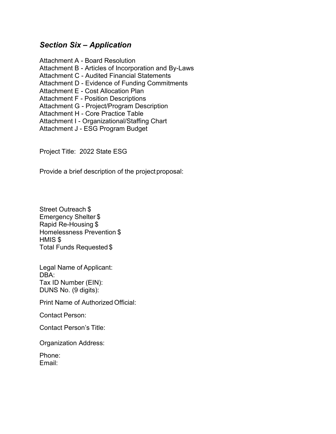## *Section Six – Application*

Attachment A - Board Resolution Attachment B - Articles of Incorporation and By-Laws Attachment C - Audited Financial Statements Attachment D - Evidence of Funding Commitments Attachment E - Cost Allocation Plan Attachment F - Position Descriptions Attachment G - Project/Program Description Attachment H - Core Practice Table Attachment I - Organizational/Staffing Chart Attachment J - ESG Program Budget

Project Title: 2022 State ESG

Provide a brief description of the project proposal:

Street Outreach \$ Emergency Shelter \$ Rapid Re-Housing \$ Homelessness Prevention \$ HMIS \$ Total Funds Requested \$

Legal Name of Applicant: DBA: Tax ID Number (EIN): DUNS No. (9 digits):

Print Name of Authorized Official:

Contact Person:

Contact Person's Title:

Organization Address:

Phone: Email: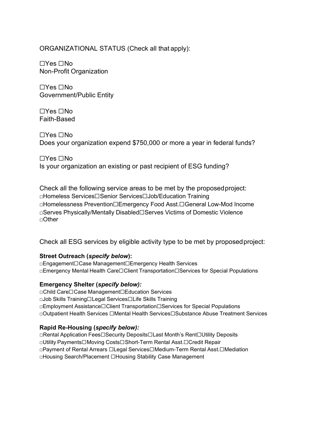#### ORGANIZATIONAL STATUS (Check all that apply):

☐Yes ☐No Non-Profit Organization

☐Yes ☐No Government/Public Entity

☐Yes ☐No Faith-Based

☐Yes ☐No Does your organization expend \$750,000 or more a year in federal funds?

☐Yes ☐No Is your organization an existing or past recipient of ESG funding?

Check all the following service areas to be met by the proposedproject: □Homeless Services☐Senior Services☐Job/Education Training □Homelessness Prevention☐Emergency Food Asst.☐General Low-Mod Income □Serves Physically/Mentally Disabled☐Serves Victims of Domestic Violence □Other

Check all ESG services by eligible activity type to be met by proposedproject:

#### **Street Outreach (***specify below***):**

□Engagement☐Case Management☐Emergency Health Services □Emergency Mental Health Care☐Client Transportation☐Services for Special Populations

#### **Emergency Shelter (***specify below):*

□Child Care☐Case Management☐Education Services □Job Skills Training☐Legal Services☐Life Skills Training □Employment Assistance☐Client Transportation☐Services for Special Populations □Outpatient Health Services ☐Mental Health Services☐Substance Abuse Treatment Services

#### **Rapid Re-Housing (***specify below):*

□Rental Application Fees☐Security Deposits☐Last Month's Rent☐Utility Deposits □Utility Payments☐Moving Costs☐Short-Term Rental Asst.☐Credit Repair □Payment of Rental Arrears ☐Legal Services☐Medium-Term Rental Asst.☐Mediation □Housing Search/Placement □Housing Stability Case Management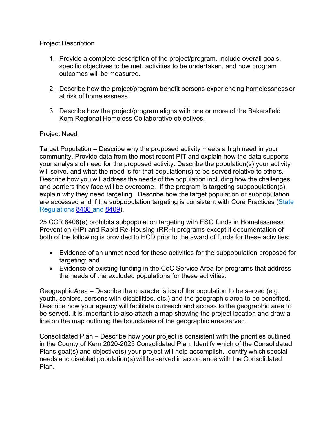Project Description

- 1. Provide a complete description of the project/program. Include overall goals, specific objectives to be met, activities to be undertaken, and how program outcomes will be measured.
- 2. Describe how the project/program benefit persons experiencing homelessness or at risk of homelessness.
- 3. Describe how the project/program aligns with one or more of the Bakersfield Kern Regional Homeless Collaborative objectives.

#### Project Need

Target Population – Describe why the proposed activity meets a high need in your community. Provide data from the most recent PIT and explain how the data supports your analysis of need for the proposed activity. Describe the population(s) your activity will serve, and what the need is for that population(s) to be served relative to others. Describe how you will address the needs of the population including how the challenges and barriers they face will be overcome. If the program is targeting subpopulation(s), explain why they need targeting. Describe how the target population or subpopulation are accessed and if the subpopulation targeting is consistent with Core Practices (State Regulations [8408 a](https://govt.westlaw.com/calregs/Document/I041D944BC0924F36AEEF6C3420EE59D6?originationContext=Search%2BResult&amp%3BlistSource=Search&amp%3BviewType=FullText&amp%3BnavigationPath=Search%2fv3%2fsearch%2fresults%2fnavigation%2fi0ad70f760000015530f7f53034164737%3fstartIndex%3d1%26Nav%3dREGULATION_PUBLICVIEW%26contextData%3d(sc.Default)&amp%3Brank=2&amp%3Blist=REGULATION_PUBLICVIEW&amp%3BtransitionType=SearchItem&amp%3BcontextData=(sc.Search)&amp%3Bt_T2=8408&amp%3Bt_S1=CA%2BADC%2Bs)nd [8409\)](https://govt.westlaw.com/calregs/Document/I53153D4C91CC4E299A97467973BF1606?originationContext=Search%2BResult&amp%3BlistSource=Search&amp%3BviewType=FullText&amp%3BnavigationPath=Search%2fv3%2fsearch%2fresults%2fnavigation%2fi0ad70f760000015530f8ea2c3416473e%3fstartIndex%3d1%26Nav%3dREGULATION_PUBLICVIEW%26contextData%3d(sc.Default)&amp%3Brank=2&amp%3Blist=REGULATION_PUBLICVIEW&amp%3BtransitionType=SearchItem&amp%3BcontextData=(sc.Search)&amp%3Bt_T2=8409&amp%3Bt_S1=CA%2BADC%2Bs).

25 CCR 8408(e) prohibits subpopulation targeting with ESG funds in Homelessness Prevention (HP) and Rapid Re-Housing (RRH) programs except if documentation of both of the following is provided to HCD prior to the award of funds for these activities:

- Evidence of an unmet need for these activities for the subpopulation proposed for targeting; and
- Evidence of existing funding in the CoC Service Area for programs that address the needs of the excluded populations for these activities.

GeographicArea – Describe the characteristics of the population to be served (e.g. youth, seniors, persons with disabilities, etc.) and the geographic area to be benefited. Describe how your agency will facilitate outreach and access to the geographic area to be served. It is important to also attach a map showing the project location and draw a line on the map outlining the boundaries of the geographic area served.

Consolidated Plan – Describe how your project is consistent with the priorities outlined in the County of Kern 2020-2025 Consolidated Plan. Identify which of the Consolidated Plans goal(s) and objective(s) your project will help accomplish. Identify which special needs and disabled population(s) will be served in accordance with the Consolidated Plan.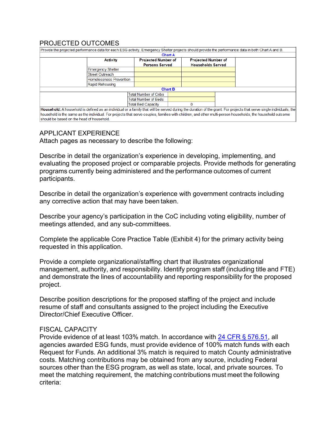#### PROJECTED OUTCOMES

| Provide the projected performance data for each ESG activity. Emergency Shelter projects should provide the performance data in both Chart A and B.                                                                                                                                                                                |                              |                |                            |  |  |
|------------------------------------------------------------------------------------------------------------------------------------------------------------------------------------------------------------------------------------------------------------------------------------------------------------------------------------|------------------------------|----------------|----------------------------|--|--|
|                                                                                                                                                                                                                                                                                                                                    |                              | <b>Chart A</b> |                            |  |  |
| <b>Activity</b>                                                                                                                                                                                                                                                                                                                    | <b>Projected Number of</b>   |                | <b>Projected Number of</b> |  |  |
|                                                                                                                                                                                                                                                                                                                                    | <b>Persons Served</b>        |                | <b>Households Served</b>   |  |  |
| <b>Emergency Shelter</b>                                                                                                                                                                                                                                                                                                           |                              |                |                            |  |  |
| <b>Street Outreach</b>                                                                                                                                                                                                                                                                                                             |                              |                |                            |  |  |
| <b>Homelessness Prevention</b>                                                                                                                                                                                                                                                                                                     |                              |                |                            |  |  |
| Rapid Rehousing                                                                                                                                                                                                                                                                                                                    |                              |                |                            |  |  |
|                                                                                                                                                                                                                                                                                                                                    |                              | <b>Chart B</b> |                            |  |  |
|                                                                                                                                                                                                                                                                                                                                    | <b>Total Number of Cribs</b> |                |                            |  |  |
|                                                                                                                                                                                                                                                                                                                                    | <b>Total Number of Beds</b>  |                |                            |  |  |
|                                                                                                                                                                                                                                                                                                                                    | <b>Total Bed Capacity</b>    |                | $\Omega$                   |  |  |
| Household: A household is defined as an individual or a family that will be served during the duration of the grant. For projects that serve single individuals, the<br>household is the same as the individual. For projects that serve couples, families with children, and other multi-person households, the household outcome |                              |                |                            |  |  |

#### APPLICANT EXPERIENCE

should be based on the head of household.

Attach pages as necessary to describe the following:

Describe in detail the organization's experience in developing, implementing, and evaluating the proposed project or comparable projects. Provide methods for generating programs currently being administered and the performance outcomes of current participants.

Describe in detail the organization's experience with government contracts including any corrective action that may have been taken.

Describe your agency's participation in the CoC including voting eligibility, number of meetings attended, and any sub-committees.

Complete the applicable Core Practice Table (Exhibit 4) for the primary activity being requested in this application.

Provide a complete organizational/staffing chart that illustrates organizational management, authority, and responsibility. Identify program staff (including title and FTE) and demonstrate the lines of accountability and reporting responsibility for the proposed project.

Describe position descriptions for the proposed staffing of the project and include resume of staff and consultants assigned to the project including the Executive Director/Chief Executive Officer.

#### FISCAL CAPACITY

Provide evidence of at least 103% match. In accordance with 24 CFR § [576.51,](https://www.gpo.gov/fdsys/granule/CFR-2008-title24-vol3/CFR-2008-title24-vol3-sec576-51/content-detail.html) all agencies awarded ESG funds, must provide evidence of 100% match funds with each Request for Funds. An additional 3% match is required to match County administrative costs. Matching contributions may be obtained from any source, including Federal sources other than the ESG program, as well as state, local, and private sources. To meet the matching requirement, the matching contributions must meet the following criteria: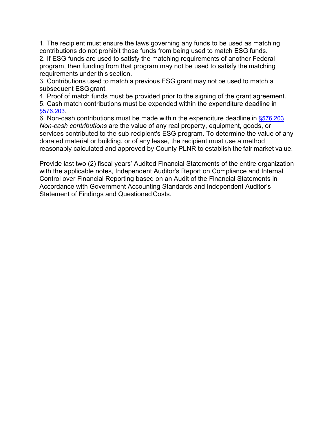1. The recipient must ensure the laws governing any funds to be used as matching contributions do not prohibit those funds from being used to match ESG funds.

2. If ESG funds are used to satisfy the matching requirements of another Federal program, then funding from that program may not be used to satisfy the matching requirements under this section.

3. Contributions used to match a previous ESG grant may not be used to match a subsequent ESG grant.

4. Proof of match funds must be provided prior to the signing of the grant agreement.

5. Cash match contributions must be expended within the expenditure deadline in [§576.203.](http://www.ecfr.gov/cgi-bin/text-idx?SID=f85d0bab9faeb1a070af8cb64c5ca084&amp%3Bnode=pt24.3.576&amp%3Brgn=div5%23se24.3.576_1203)

6. Non-cash contributions must be made within the expenditure deadline in [§576.203.](http://www.ecfr.gov/cgi-bin/text-idx?SID=f85d0bab9faeb1a070af8cb64c5ca084&amp%3Bnode=pt24.3.576&amp%3Brgn=div5%23se24.3.576_1203) *Non-cash contributions* are the value of any real property, equipment, goods, or services contributed to the sub-recipient's ESG program. To determine the value of any donated material or building, or of any lease, the recipient must use a method reasonably calculated and approved by County PLNR to establish the fair market value.

Provide last two (2) fiscal years' Audited Financial Statements of the entire organization with the applicable notes, Independent Auditor's Report on Compliance and Internal Control over Financial Reporting based on an Audit of the Financial Statements in Accordance with Government Accounting Standards and Independent Auditor's Statement of Findings and Questioned Costs.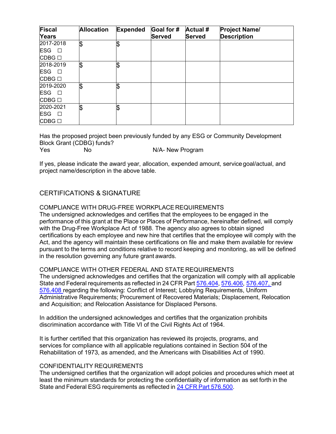| <b>Fiscal</b><br>Years                 | <b>Allocation</b> | <b>Expended</b> | Goal for #<br>Served | <b>Actual #</b><br><b>Served</b> | <b>Project Name/</b><br><b>Description</b> |
|----------------------------------------|-------------------|-----------------|----------------------|----------------------------------|--------------------------------------------|
| 2017-2018                              | l\$               | \$              |                      |                                  |                                            |
| <b>ESG</b><br>$\overline{\phantom{a}}$ |                   |                 |                      |                                  |                                            |
| CDBG □                                 |                   |                 |                      |                                  |                                            |
| 2018-2019                              | \$                | \$              |                      |                                  |                                            |
| <b>ESG</b><br>$\Box$                   |                   |                 |                      |                                  |                                            |
| CDBG □                                 |                   |                 |                      |                                  |                                            |
| 2019-2020                              | \$                | \$              |                      |                                  |                                            |
| ESG O                                  |                   |                 |                      |                                  |                                            |
| CDBG □                                 |                   |                 |                      |                                  |                                            |
| 2020-2021                              | I\$               | \$              |                      |                                  |                                            |
| <b>ESG</b><br>$\Box$                   |                   |                 |                      |                                  |                                            |
| CDBG □                                 |                   |                 |                      |                                  |                                            |

Has the proposed project been previously funded by any ESG or Community Development Block Grant (CDBG) funds?

Yes No No N/A- New Program

If yes, please indicate the award year, allocation, expended amount, servicegoal/actual, and project name/description in the above table.

#### CERTIFICATIONS & SIGNATURE

COMPLIANCE WITH DRUG-FREE WORKPLACE REQUIREMENTS

The undersigned acknowledges and certifies that the employees to be engaged in the performance of this grant at the Place or Places of Performance, hereinafter defined, will comply with the Drug-Free Workplace Act of 1988. The agency also agrees to obtain signed certifications by each employee and new hire that certifies that the employee will comply with the Act, and the agency will maintain these certifications on file and make them available for review pursuant to the terms and conditions relative to record keeping and monitoring, as will be defined in the resolution governing any future grant awards.

#### COMPLIANCE WITH OTHER FEDERAL AND STATE REQUIREMENTS

The undersigned acknowledges and certifies that the organization will comply with all applicable State and Federal requirements as reflected in 24 CFR Part [576.404,](http://www.ecfr.gov/cgi-bin/text-idx?SID=f85d0bab9faeb1a070af8cb64c5ca084&amp%3Bnode=pt24.3.576&amp%3Brgn=div5%23se24.3.576_1404) [576.406,](http://www.ecfr.gov/cgi-bin/text-idx?SID=f85d0bab9faeb1a070af8cb64c5ca084&amp%3Bnode=pt24.3.576&amp%3Brgn=div5%23se24.3.576_1406) [576.407,](http://www.ecfr.gov/cgi-bin/text-idx?SID=f85d0bab9faeb1a070af8cb64c5ca084&amp%3Bnode=pt24.3.576&amp%3Brgn=div5%23se24.3.576_1407) and [576.408](http://www.ecfr.gov/cgi-bin/text-idx?SID=f85d0bab9faeb1a070af8cb64c5ca084&amp%3Bnode=pt24.3.576&amp%3Brgn=div5%23se24.3.576_1408) regarding the following: Conflict of Interest; Lobbying Requirements, Uniform Administrative Requirements; Procurement of Recovered Materials; Displacement, Relocation and Acquisition; and Relocation Assistance for Displaced Persons.

In addition the undersigned acknowledges and certifies that the organization prohibits discrimination accordance with Title VI of the Civil Rights Act of 1964.

It is further certified that this organization has reviewed its projects, programs, and services for compliance with all applicable regulations contained in Section 504 of the Rehabilitation of 1973, as amended, and the Americans with Disabilities Act of 1990.

#### CONFIDENTIALITY REQUIREMENTS

The undersigned certifies that the organization will adopt policies and procedures which meet at least the minimum standards for protecting the confidentiality of information as set forth in the State and Federal ESG requirements as reflected in 24 CFR Part [576.500.](http://www.ecfr.gov/cgi-bin/text-idx?SID=f85d0bab9faeb1a070af8cb64c5ca084&amp%3Bnode=pt24.3.576&amp%3Brgn=div5%23se24.3.576_1500)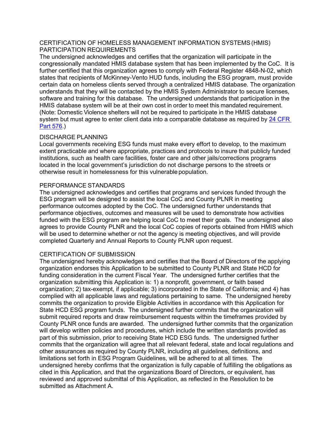#### CERTIFICATION OF HOMELESS MANAGEMENT INFORMATION SYSTEMS(HMIS) PARTICIPATION REQUIREMENTS

The undersigned acknowledges and certifies that the organization will participate in the congressionally mandated HMIS database system that has been implemented by the CoC. It is further certified that this organization agrees to comply with Federal Register 4848-N-02, which states that recipients of McKinney-Vento HUD funds, including the ESG program, must provide certain data on homeless clients served through a centralized HMIS database. The organization understands that they will be contacted by the HMIS System Administrator to secure licenses, software and training for this database. The undersigned understands that participation in the HMIS database system will be at their own cost in order to meet this mandated requirement. (Note: Domestic Violence shelters will not be required to participate in the HMIS database system but must agree to enter client data into a comparable database as required by [24 CFR](http://www.ecfr.gov/cgi-bin/text-idx?SID=f85d0bab9faeb1a070af8cb64c5ca084&amp%3Bnode=pt24.3.576&amp%3Brgn=div5)  Part [576.](http://www.ecfr.gov/cgi-bin/text-idx?SID=f85d0bab9faeb1a070af8cb64c5ca084&amp%3Bnode=pt24.3.576&amp%3Brgn=div5))

#### DISCHARGE PLANNING

Local governments receiving ESG funds must make every effort to develop, to the maximum extent practicable and where appropriate, practices and protocols to insure that publicly funded institutions, such as health care facilities, foster care and other jails/corrections programs located in the local government's jurisdiction do not discharge persons to the streets or otherwise result in homelessness for this vulnerable population.

#### PERFORMANCE STANDARDS

The undersigned acknowledges and certifies that programs and services funded through the ESG program will be designed to assist the local CoC and County PLNR in meeting performance outcomes adopted by the CoC. The undersigned further understands that performance objectives, outcomes and measures will be used to demonstrate how activities funded with the ESG program are helping local CoC to meet their goals. The undersigned also agrees to provide County PLNR and the local CoC copies of reports obtained from HMIS which will be used to determine whether or not the agency is meeting objectives, and will provide completed Quarterly and Annual Reports to County PLNR upon request.

#### CERTIFICATION OF SUBMISSION

The undersigned hereby acknowledges and certifies that the Board of Directors of the applying organization endorses this Application to be submitted to County PLNR and State HCD for funding consideration in the current Fiscal Year. The undersigned further certifies that the organization submitting this Application is: 1) a nonprofit, government, or faith based organization; 2) tax-exempt, if applicable; 3) incorporated in the State of California; and 4) has complied with all applicable laws and regulations pertaining to same. The undersigned hereby commits the organization to provide Eligible Activities in accordance with this Application for State HCD ESG program funds. The undersigned further commits that the organization will submit required reports and draw reimbursement requests within the timeframes provided by County PLNR once funds are awarded. The undersigned further commits that the organization will develop written policies and procedures, which include the written standards provided as part of this submission, prior to receiving State HCD ESG funds. The undersigned further commits that the organization will agree that all relevant federal, state and local regulations and other assurances as required by County PLNR, including all guidelines, definitions, and limitations set forth in ESG Program Guidelines, will be adhered to at all times. The undersigned hereby confirms that the organization is fully capable of fulfilling the obligations as cited in this Application, and that the organizations Board of Directors, or equivalent, has reviewed and approved submittal of this Application, as reflected in the Resolution to be submitted as Attachment A.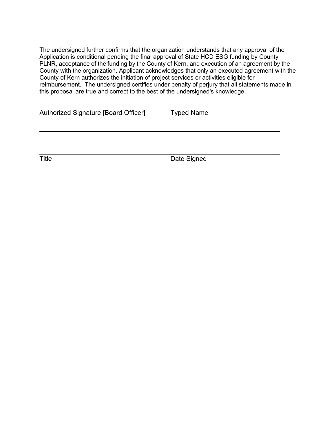The undersigned further confirms that the organization understands that any approval of the Application is conditional pending the final approval of State HCD ESG funding by County PLNR, acceptance of the funding by the County of Kern, and execution of an agreement by the County with the organization. Applicant acknowledges that only an executed agreement with the County of Kern authorizes the initiation of project services or activities eligible for reimbursement. The undersigned certifies under penalty of perjury that all statements made in this proposal are true and correct to the best of the undersigned's knowledge.

|  | Authorized Signature [Board Officer] | Typed Name |
|--|--------------------------------------|------------|
|--|--------------------------------------|------------|

Title Date Signed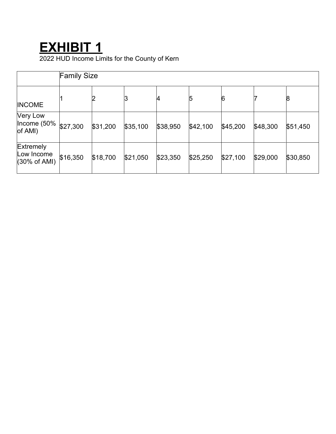## **EXHIBIT 1**

2022 HUD Income Limits for the County of Kern

|                                                           | <b>Family Size</b> |          |          |          |          |          |          |          |
|-----------------------------------------------------------|--------------------|----------|----------|----------|----------|----------|----------|----------|
| <b>INCOME</b>                                             |                    |          |          | 4        | 5        | 6        |          | 8        |
| <b>Very Low</b><br>$ $ Income (50%<br>of AMI)             | \$27,300           | \$31,200 | \$35,100 | \$38,950 | \$42,100 | \$45,200 | \$48,300 | \$51,450 |
| <b>Extremely</b><br>Low Income<br>$(30\% \text{ of AMI})$ | \$16,350           | \$18,700 | \$21,050 | \$23,350 | \$25,250 | \$27,100 | \$29,000 | \$30,850 |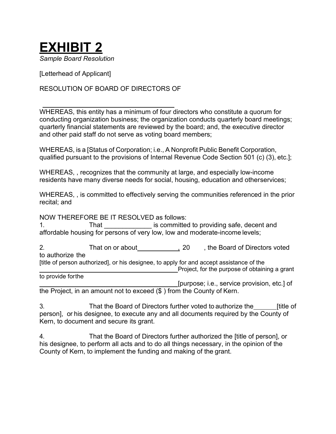

[Letterhead of Applicant]

#### RESOLUTION OF BOARD OF DIRECTORS OF

WHEREAS, this entity has a minimum of four directors who constitute a quorum for conducting organization business; the organization conducts quarterly board meetings; quarterly financial statements are reviewed by the board; and, the executive director and other paid staff do not serve as voting board members;

WHEREAS, is a [Status of Corporation; i.e., A Nonprofit Public Benefit Corporation, qualified pursuant to the provisions of Internal Revenue Code Section 501 (c) (3), etc.];

WHEREAS, , recognizes that the community at large, and especially low-income residents have many diverse needs for social, housing, education and otherservices;

WHEREAS, , is committed to effectively serving the communities referenced in the prior recital; and

NOW THEREFORE BE IT RESOLVED as follows:

1. That That is committed to providing safe, decent and affordable housing for persons of very low, low and moderate-income levels;

2. That on or about **6. Accord 1.20** , the Board of Directors voted to authorize the [title of person authorized], or his designee, to apply for and accept assistance of the **EXECUTE:** Project, for the purpose of obtaining a grant to provide forthe

[purpose; i.e., service provision, etc.] of the Project, in an amount not to exceed (\$ ) from the County of Kern.

3. That the Board of Directors further voted to authorize the [title of person], or his designee, to execute any and all documents required by the County of Kern, to document and secure its grant.

4. That the Board of Directors further authorized the [title of person], or his designee, to perform all acts and to do all things necessary, in the opinion of the County of Kern, to implement the funding and making of the grant.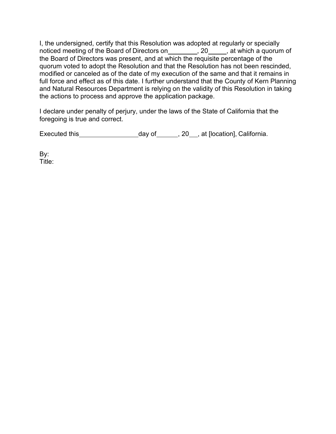I, the undersigned, certify that this Resolution was adopted at regularly or specially noticed meeting of the Board of Directors on \_\_\_\_\_\_\_\_\_, 20\_\_\_\_\_, at which a quorum of the Board of Directors was present, and at which the requisite percentage of the quorum voted to adopt the Resolution and that the Resolution has not been rescinded, modified or canceled as of the date of my execution of the same and that it remains in full force and effect as of this date. I further understand that the County of Kern Planning and Natural Resources Department is relying on the validity of this Resolution in taking the actions to process and approve the application package.

I declare under penalty of perjury, under the laws of the State of California that the foregoing is true and correct.

Executed this day of , 20 , at [location], California.

By: Title: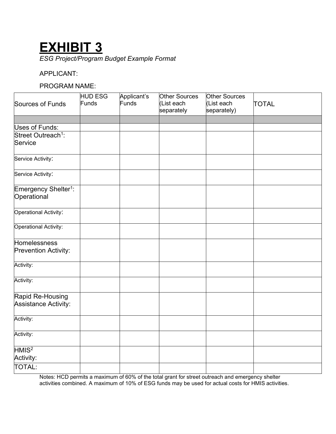## **EXHIBIT 3**

*ESG Project/Program Budget Example Format*

#### APPLICANT:

#### PROGRAM NAME:

|                                                 | <b>HUD ESG</b> | Applicant's | Other Sources            | Other Sources             |              |
|-------------------------------------------------|----------------|-------------|--------------------------|---------------------------|--------------|
| Sources of Funds                                | Funds          | Funds       | (List each<br>separately | (List each<br>separately) | <b>TOTAL</b> |
|                                                 |                |             |                          |                           |              |
| Uses of Funds:                                  |                |             |                          |                           |              |
| Street Outreach <sup>1</sup> :                  |                |             |                          |                           |              |
| Service                                         |                |             |                          |                           |              |
| Service Activity:                               |                |             |                          |                           |              |
| Service Activity:                               |                |             |                          |                           |              |
| Emergency Shelter <sup>1</sup> :<br>Operational |                |             |                          |                           |              |
| Operational Activity:                           |                |             |                          |                           |              |
| Operational Activity:                           |                |             |                          |                           |              |
| Homelessness                                    |                |             |                          |                           |              |
| Prevention Activity:                            |                |             |                          |                           |              |
| Activity:                                       |                |             |                          |                           |              |
| Activity:                                       |                |             |                          |                           |              |
| Rapid Re-Housing<br>Assistance Activity:        |                |             |                          |                           |              |
| Activity:                                       |                |             |                          |                           |              |
| Activity:                                       |                |             |                          |                           |              |
| HMIS <sup>2</sup><br>Activity:                  |                |             |                          |                           |              |
| <b>TOTAL:</b>                                   |                |             |                          |                           |              |

Notes: HCD permits a maximum of 60% of the total grant for street outreach and emergency shelter activities combined. A maximum of 10% of ESG funds may be used for actual costs for HMIS activities.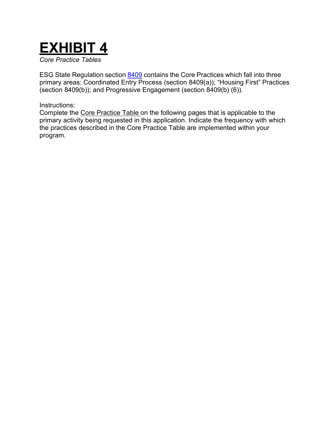# **EXHIBIT 4**

*Core Practice Tables*

ESG State Regulation section [8409](https://govt.westlaw.com/calregs/Document/I53153D4C91CC4E299A97467973BF1606?originationContext=Search%2BResult&amp%3BlistSource=Search&amp%3BviewType=FullText&amp%3BnavigationPath=Search%2fv3%2fsearch%2fresults%2fnavigation%2fi0ad70f760000015531220acc34164b1d%3fstartIndex%3d1%26Nav%3dREGULATION_PUBLICVIEW%26contextData%3d(sc.Default)&amp%3Brank=2&amp%3Blist=REGULATION_PUBLICVIEW&amp%3BtransitionType=SearchItem&amp%3BcontextData=(sc.Search)&amp%3Bt_T2=8409&amp%3Bt_S1=CA%2BADC%2Bs) contains the Core Practices which fall into three primary areas: Coordinated Entry Process (section 8409(a)); "Housing First" Practices (section 8409(b)); and Progressive Engagement (section 8409(b) (6)).

#### Instructions:

Complete the Core Practice Table on the following pages that is applicable to the primary activity being requested in this application. Indicate the frequency with which the practices described in the Core Practice Table are implemented within your program.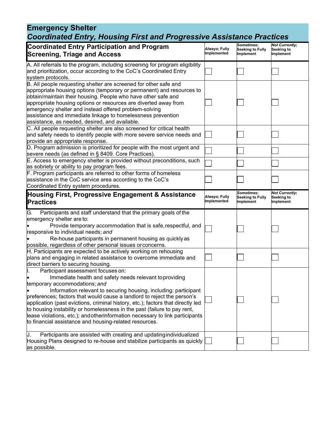## **Emergency Shelter** *Coordinated Entry, Housing First and Progressive Assistance Practices*

| <b>Coordinated Entry Participation and Program</b><br><b>Screening, Triage and Access</b>                                                                                                                                                                                                                                                                                                                                                                                                                                                                                             | Always; Fully<br>Implemented | Sometimes;<br><b>Seeking to Fully</b><br>Implement | <b>Not Currently;</b><br>Seeking to<br>Implement |
|---------------------------------------------------------------------------------------------------------------------------------------------------------------------------------------------------------------------------------------------------------------------------------------------------------------------------------------------------------------------------------------------------------------------------------------------------------------------------------------------------------------------------------------------------------------------------------------|------------------------------|----------------------------------------------------|--------------------------------------------------|
| A. All referrals to the program, including screening for program eligibility<br>and prioritization, occur according to the CoC's Coordinated Entry<br>system protocols.                                                                                                                                                                                                                                                                                                                                                                                                               |                              |                                                    |                                                  |
| B. All people requesting shelter are screened for other safe and<br>appropriate housing options (temporary or permanent) and resources to<br>obtain/maintain their housing. People who have other safe and<br>appropriate housing options or resources are diverted away from<br>emergency shelter and instead offered problem-solving<br>assistance and immediate linkage to homelessness prevention<br>assistance, as needed, desired, and available.                                                                                                                               |                              |                                                    |                                                  |
| C. All people requesting shelter are also screened for critical health<br>and safety needs to identify people with more severe service needs and<br>provide an appropriate response.                                                                                                                                                                                                                                                                                                                                                                                                  |                              |                                                    |                                                  |
| D. Program admission is prioritized for people with the most urgent and<br>severe needs (as defined in § 8409. Core Practices).                                                                                                                                                                                                                                                                                                                                                                                                                                                       |                              |                                                    |                                                  |
| E. Access to emergency shelter is provided without preconditions, such<br>as sobriety or ability to pay program fees.                                                                                                                                                                                                                                                                                                                                                                                                                                                                 |                              |                                                    |                                                  |
| F. Program participants are referred to other forms of homeless<br>assistance in the CoC service area according to the CoC's<br>Coordinated Entry system procedures.                                                                                                                                                                                                                                                                                                                                                                                                                  |                              |                                                    |                                                  |
| Housing First, Progressive Engagement & Assistance<br><b>Practices</b>                                                                                                                                                                                                                                                                                                                                                                                                                                                                                                                | Always; Fully<br>Implemented | Sometimes;<br><b>Seeking to Fully</b><br>Implement | <b>Not Currently:</b><br>Seeking to<br>Implement |
| Participants and staff understand that the primary goals of the<br>G.<br>emergency shelter are to:<br>Provide temporary accommodation that is safe, respectful, and<br>responsive to individual needs; and<br>Re-house participants in permanent housing as quickly as<br>possible, regardless of other personal issues or concerns.                                                                                                                                                                                                                                                  |                              |                                                    |                                                  |
| H. Participants are expected to be actively working on rehousing<br>plans and engaging in related assistance to overcome immediate and<br>direct barriers to securing housing.                                                                                                                                                                                                                                                                                                                                                                                                        |                              |                                                    |                                                  |
| Participant assessment focuses on:<br>Immediate health and safety needs relevant toproviding<br>temporary accommodations; and<br>Information relevant to securing housing, including: participant<br>preferences; factors that would cause a landlord to reject the person's<br>application (past evictions, criminal history, etc.); factors that directly led<br>to housing instability or homelessness in the past (failure to pay rent,<br>lease violations, etc.); and otherinformation necessary to link participants<br>to financial assistance and housing-related resources. |                              |                                                    |                                                  |
| Participants are assisted with creating and updating individualized<br>IJ.<br>Housing Plans designed to re-house and stabilize participants as quickly<br>as possible.                                                                                                                                                                                                                                                                                                                                                                                                                |                              |                                                    |                                                  |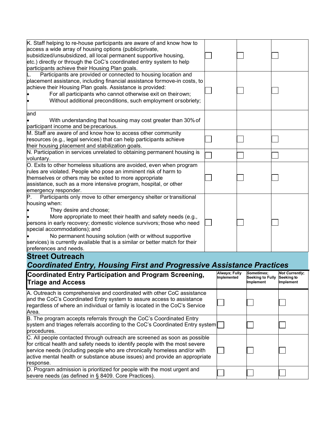| D. Program admission is prioritized for people with the most urgent and                                                                 |               |                               |                         |                       |
|-----------------------------------------------------------------------------------------------------------------------------------------|---------------|-------------------------------|-------------------------|-----------------------|
| response.                                                                                                                               |               |                               |                         |                       |
| active mental health or substance abuse issues) and provide an appropriate                                                              |               |                               |                         |                       |
| service needs (including people who are chronically homeless and/or with                                                                |               |                               |                         |                       |
| for critical health and safety needs to identify people with the most severe                                                            |               |                               |                         |                       |
| C. All people contacted through outreach are screened as soon as possible                                                               |               |                               |                         |                       |
| system and triages referrals according to the CoC's Coordinated Entry system<br>procedures.                                             |               |                               |                         |                       |
| B. The program accepts referrals through the CoC's Coordinated Entry                                                                    |               |                               |                         |                       |
| Area.                                                                                                                                   |               |                               |                         |                       |
| regardless of where an individual or family is located in the CoC's Service                                                             |               |                               |                         |                       |
| and the CoC's Coordinated Entry system to assure access to assistance                                                                   |               |                               |                         |                       |
| A. Outreach is comprehensive and coordinated with other CoC assistance                                                                  |               |                               |                         |                       |
| <b>Triage and Access</b>                                                                                                                | Implemented   | Seeking to Fully<br>Implement | Seeking to<br>Implement |                       |
| <b>Coordinated Entry Participation and Program Screening,</b>                                                                           | Always; Fully | <b>Sometimes;</b>             |                         | <b>Not Currently;</b> |
| <b>Coordinated Entry, Housing First and Progressive Assistance Practices</b>                                                            |               |                               |                         |                       |
| <b>Street Outreach</b>                                                                                                                  |               |                               |                         |                       |
| preferences and needs.                                                                                                                  |               |                               |                         |                       |
| services) is currently available that is a similar or better match for their                                                            |               |                               |                         |                       |
| No permanent housing solution (with or without supportive                                                                               |               |                               |                         |                       |
| special accommodations); and                                                                                                            |               |                               |                         |                       |
| More appropriate to meet their health and safety needs (e.g.,<br>persons in early recovery; domestic violence survivors; those who need |               |                               |                         |                       |
| They desire and choose;                                                                                                                 |               |                               |                         |                       |
| housing when:                                                                                                                           |               |                               |                         |                       |
| Participants only move to other emergency shelter or transitional                                                                       |               |                               |                         |                       |
| emergency responder.                                                                                                                    |               |                               |                         |                       |
| assistance, such as a more intensive program, hospital, or other                                                                        |               |                               |                         |                       |
| themselves or others may be exited to more appropriate                                                                                  |               |                               |                         |                       |
| rules are violated. People who pose an imminent risk of harm to                                                                         |               |                               |                         |                       |
| O. Exits to other homeless situations are avoided, even when program                                                                    |               |                               |                         |                       |
| voluntary.                                                                                                                              |               |                               |                         |                       |
| N. Participation in services unrelated to obtaining permanent housing is                                                                |               |                               |                         |                       |
| resources (e.g., legal services) that can help participants achieve<br>their housing placement and stabilization goals.                 |               |                               |                         |                       |
| M. Staff are aware of and know how to access other community                                                                            |               |                               |                         |                       |
| participant income and be precarious.                                                                                                   |               |                               |                         |                       |
| With understanding that housing may cost greater than 30% of                                                                            |               |                               |                         |                       |
| and                                                                                                                                     |               |                               |                         |                       |
|                                                                                                                                         |               |                               |                         |                       |
| Without additional preconditions, such employment or sobriety;                                                                          |               |                               |                         |                       |
| For all participants who cannot otherwise exit on theirown;                                                                             |               |                               |                         |                       |
| achieve their Housing Plan goals. Assistance is provided:                                                                               |               |                               |                         |                       |
| placement assistance, including financial assistance formove-in costs, to                                                               |               |                               |                         |                       |
| participants achieve their Housing Plan goals.<br>Participants are provided or connected to housing location and                        |               |                               |                         |                       |
| etc.) directly or through the CoC's coordinated entry system to help                                                                    |               |                               |                         |                       |
| subsidized/unsubsidized, all local permanent supportive housing,                                                                        |               |                               |                         |                       |
| access a wide array of housing options (public/private,                                                                                 |               |                               |                         |                       |
| K. Staff helping to re-house participants are aware of and know how to                                                                  |               |                               |                         |                       |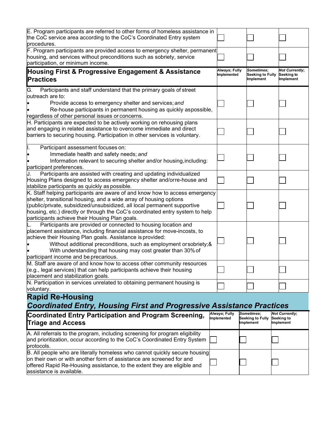| E. Program participants are referred to other forms of homeless assistance in<br>the CoC service area according to the CoC's Coordinated Entry system<br>procedures.                                                                                                                                                                                                                     |                                      |                                                    |                                                  |
|------------------------------------------------------------------------------------------------------------------------------------------------------------------------------------------------------------------------------------------------------------------------------------------------------------------------------------------------------------------------------------------|--------------------------------------|----------------------------------------------------|--------------------------------------------------|
| F. Program participants are provided access to emergency shelter, permanent<br>housing, and services without preconditions such as sobriety, service<br>participation, or minimum income.                                                                                                                                                                                                |                                      |                                                    |                                                  |
| Housing First & Progressive Engagement & Assistance<br><b>Practices</b>                                                                                                                                                                                                                                                                                                                  | Always; Fully<br>Implemented         | Sometimes;<br><b>Seeking to Fully</b><br>Implement | <b>Not Currently;</b><br>Seeking to<br>Implement |
| Participants and staff understand that the primary goals of street<br>G.                                                                                                                                                                                                                                                                                                                 |                                      |                                                    |                                                  |
| outreach are to:<br>Provide access to emergency shelter and services; and<br>Re-house participants in permanent housing as quickly aspossible,<br>regardless of other personal issues or concerns.                                                                                                                                                                                       |                                      |                                                    |                                                  |
| H. Participants are expected to be actively working on rehousing plans                                                                                                                                                                                                                                                                                                                   |                                      |                                                    |                                                  |
| and engaging in related assistance to overcome immediate and direct<br>barriers to securing housing. Participation in other services is voluntary.                                                                                                                                                                                                                                       |                                      |                                                    |                                                  |
| Participant assessment focuses on:<br>μ.                                                                                                                                                                                                                                                                                                                                                 |                                      |                                                    |                                                  |
| Immediate health and safety needs; and<br>Information relevant to securing shelter and/or housing, including:<br>participant preferences.                                                                                                                                                                                                                                                |                                      |                                                    |                                                  |
| Participants are assisted with creating and updating individualized                                                                                                                                                                                                                                                                                                                      |                                      |                                                    |                                                  |
| Housing Plans designed to access emergency shelter and/orre-house and<br>stabilize participants as quickly as possible.                                                                                                                                                                                                                                                                  |                                      |                                                    |                                                  |
| K. Staff helping participants are aware of and know how to access emergency<br>shelter, transitional housing, and a wide array of housing options<br>(public/private, subsidized/unsubsidized, all local permanent supportive<br>housing, etc.) directly or through the CoC's coordinated entry system to help<br>participants achieve their Housing Plan goals.                         |                                      |                                                    |                                                  |
| Participants are provided or connected to housing location and<br>placement assistance, including financial assistance for move-incosts, to<br>achieve their Housing Plan goals. Assistance is provided:<br>Without additional preconditions, such as employment or sobriety; &<br>With understanding that housing may cost greater than 30% of<br>participant income and be precarious. |                                      |                                                    |                                                  |
| M. Staff are aware of and know how to access other community resources<br>$(e.g., legal services)$ that can help participants achieve their housing<br>placement and stabilization goals.                                                                                                                                                                                                |                                      |                                                    |                                                  |
| N. Participation in services unrelated to obtaining permanent housing is<br>voluntary.                                                                                                                                                                                                                                                                                                   |                                      |                                                    |                                                  |
| <b>Rapid Re-Housing</b><br><b>Coordinated Entry, Housing First and Progressive Assistance Practices</b>                                                                                                                                                                                                                                                                                  |                                      |                                                    |                                                  |
| Coordinated Entry Participation and Program Screening,<br><b>Triage and Access</b>                                                                                                                                                                                                                                                                                                       | <i>Always</i> ; Fully<br>Implemented | Sometimes;<br>Seeking to Fully<br>Implement        | <b>Not Currently;</b><br>Seeking to<br>Implement |
| A. All referrals to the program, including screening for program eligibility                                                                                                                                                                                                                                                                                                             |                                      |                                                    |                                                  |

| A. All referrals to the program, including screening for program eligibility<br>and prioritization, occur according to the CoC's Coordinated Entry System  <br>protocols.                                                                                  |  |  |
|------------------------------------------------------------------------------------------------------------------------------------------------------------------------------------------------------------------------------------------------------------|--|--|
| B. All people who are literally homeless who cannot quickly secure housing<br>on their own or with another form of assistance are screened for and<br>offered Rapid Re-Housing assistance, to the extent they are eligible and<br>assistance is available. |  |  |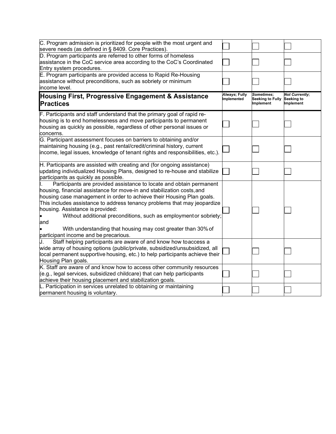| C. Program admission is prioritized for people with the most urgent and<br>severe needs (as defined in § 8409. Core Practices).                                                                                                                                                                                                                                                                                                                                                                                             |                              |                                             |                                                         |
|-----------------------------------------------------------------------------------------------------------------------------------------------------------------------------------------------------------------------------------------------------------------------------------------------------------------------------------------------------------------------------------------------------------------------------------------------------------------------------------------------------------------------------|------------------------------|---------------------------------------------|---------------------------------------------------------|
| D. Program participants are referred to other forms of homeless<br>assistance in the CoC service area according to the CoC's Coordinated<br>Entry system procedures.                                                                                                                                                                                                                                                                                                                                                        |                              |                                             |                                                         |
| E. Program participants are provided access to Rapid Re-Housing<br>assistance without preconditions, such as sobriety or minimum<br>income level.                                                                                                                                                                                                                                                                                                                                                                           |                              |                                             |                                                         |
| Housing First, Progressive Engagement & Assistance<br><b>Practices</b>                                                                                                                                                                                                                                                                                                                                                                                                                                                      | Always; Fully<br>Implemented | Sometimes:<br>Seeking to Fully<br>Implement | <b>Not Currently;</b><br>Seeking to<br><b>Implement</b> |
| F. Participants and staff understand that the primary goal of rapid re-<br>housing is to end homelessness and move participants to permanent<br>housing as quickly as possible, regardless of other personal issues or<br>concerns.                                                                                                                                                                                                                                                                                         |                              |                                             |                                                         |
| G. Participant assessment focuses on barriers to obtaining and/or<br>maintaining housing (e.g., past rental/credit/criminal history, current<br>income, legal issues, knowledge of tenant rights and responsibilities, etc.).                                                                                                                                                                                                                                                                                               |                              |                                             |                                                         |
| H. Participants are assisted with creating and (for ongoing assistance)<br>updating individualized Housing Plans, designed to re-house and stabilize<br>participants as quickly as possible.                                                                                                                                                                                                                                                                                                                                |                              |                                             |                                                         |
| Participants are provided assistance to locate and obtain permanent<br>housing, financial assistance for move-in and stabilization costs, and<br>housing case management in order to achieve their Housing Plan goals.<br>This includes assistance to address tenancy problems that may jeopardize<br>housing. Assistance is provided:<br>Without additional preconditions, such as employment or sobriety;<br>and<br>With understanding that housing may cost greater than 30% of<br>participant income and be precarious. |                              |                                             |                                                         |
| Staff helping participants are aware of and know how toaccess a<br>wide array of housing options (public/private, subsidized/unsubsidized, all<br>local permanent supportive housing, etc.) to help participants achieve their<br>Housing Plan goals.                                                                                                                                                                                                                                                                       |                              |                                             |                                                         |
| K. Staff are aware of and know how to access other community resources<br>(e.g., legal services, subsidized childcare) that can help participants<br>achieve their housing placement and stabilization goals.                                                                                                                                                                                                                                                                                                               |                              |                                             |                                                         |
| L. Participation in services unrelated to obtaining or maintaining<br>permanent housing is voluntary.                                                                                                                                                                                                                                                                                                                                                                                                                       |                              |                                             |                                                         |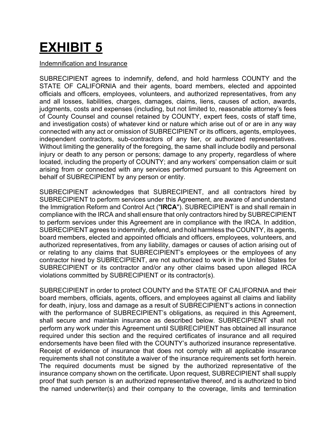# **EXHIBIT 5**

#### Indemnification and Insurance

SUBRECIPIENT agrees to indemnify, defend, and hold harmless COUNTY and the STATE OF CALIFORNIA and their agents, board members, elected and appointed officials and officers, employees, volunteers, and authorized representatives, from any and all losses, liabilities, charges, damages, claims, liens, causes of action, awards, judgments, costs and expenses (including, but not limited to, reasonable attorney's fees of County Counsel and counsel retained by COUNTY, expert fees, costs of staff time, and investigation costs) of whatever kind or nature which arise out of or are in any way connected with any act or omission of SUBRECIPIENT or its officers, agents, employees, independent contractors, sub-contractors of any tier, or authorized representatives. Without limiting the generality of the foregoing, the same shall include bodily and personal injury or death to any person or persons; damage to any property, regardless of where located, including the property of COUNTY; and any workers' compensation claim or suit arising from or connected with any services performed pursuant to this Agreement on behalf of SUBRECIPIENT by any person or entity.

SUBRECIPIENT acknowledges that SUBRECIPIENT, and all contractors hired by SUBRECIPIENT to perform services under this Agreement, are aware of and understand the Immigration Reform and Control Act ("**IRCA**"). SUBRECIPIENT is and shall remain in compliance with the IRCA and shall ensure that only contractors hired by SUBRECIPIENT to perform services under this Agreement are in compliance with the IRCA. In addition, SUBRECIPIENT agrees to indemnify, defend, and hold harmless the COUNTY, its agents, board members, elected and appointed officials and officers, employees, volunteers, and authorized representatives, from any liability, damages or causes of action arising out of or relating to any claims that SUBRECIPIENT's employees or the employees of any contractor hired by SUBRECIPIENT, are not authorized to work in the United States for SUBRECIPIENT or its contractor and/or any other claims based upon alleged IRCA violations committed by SUBRECIPIENT or its contractor(s).

SUBRECIPIENT in order to protect COUNTY and the STATE OF CALIFORNIA and their board members, officials, agents, officers, and employees against all claims and liability for death, injury, loss and damage as a result of SUBRECIPIENT's actions in connection with the performance of SUBRECIPIENT's obligations, as required in this Agreement, shall secure and maintain insurance as described below. SUBRECIPIENT shall not perform any work under this Agreement until SUBRECIPIENT has obtained all insurance required under this section and the required certificates of insurance and all required endorsements have been filed with the COUNTY's authorized insurance representative. Receipt of evidence of insurance that does not comply with all applicable insurance requirements shall not constitute a waiver of the insurance requirements set forth herein. The required documents must be signed by the authorized representative of the insurance company shown on the certificate*.* Upon request, SUBRECIPIENT shall supply proof that such person is an authorized representative thereof, and is authorized to bind the named underwriter(s) and their company to the coverage, limits and termination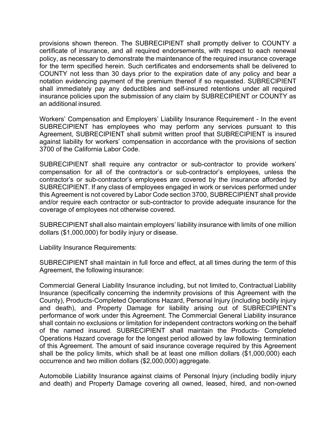provisions shown thereon. The SUBRECIPIENT shall promptly deliver to COUNTY a certificate of insurance, and all required endorsements, with respect to each renewal policy, as necessary to demonstrate the maintenance of the required insurance coverage for the term specified herein. Such certificates and endorsements shall be delivered to COUNTY not less than 30 days prior to the expiration date of any policy and bear a notation evidencing payment of the premium thereof if so requested. SUBRECIPIENT shall immediately pay any deductibles and self-insured retentions under all required insurance policies upon the submission of any claim by SUBRECIPIENT or COUNTY as an additional insured.

Workers' Compensation and Employers' Liability Insurance Requirement - In the event SUBRECIPIENT has employees who may perform any services pursuant to this Agreement, SUBRECIPIENT shall submit written proof that SUBRECIPIENT is insured against liability for workers' compensation in accordance with the provisions of section 3700 of the California Labor Code.

SUBRECIPIENT shall require any contractor or sub-contractor to provide workers' compensation for all of the contractor's or sub-contractor's employees, unless the contractor's or sub-contractor's employees are covered by the insurance afforded by SUBRECIPIENT. If any class of employees engaged in work or services performed under this Agreement is not covered by Labor Code section 3700, SUBRECIPIENT shall provide and/or require each contractor or sub-contractor to provide adequate insurance for the coverage of employees not otherwise covered.

SUBRECIPIENT shall also maintain employers' liability insurance with limits of one million dollars (\$1,000,000) for bodily injury or disease.

Liability Insurance Requirements:

SUBRECIPIENT shall maintain in full force and effect, at all times during the term of this Agreement, the following insurance:

Commercial General Liability Insurance including, but not limited to, Contractual Liability Insurance (specifically concerning the indemnity provisions of this Agreement with the County), Products-Completed Operations Hazard, Personal Injury (including bodily injury and death), and Property Damage for liability arising out of SUBRECIPIENT's performance of work under this Agreement. The Commercial General Liability insurance shall contain no exclusions or limitation for independent contractors working on the behalf of the named insured. SUBRECIPIENT shall maintain the Products- Completed Operations Hazard coverage for the longest period allowed by law following termination of this Agreement. The amount of said insurance coverage required by this Agreement shall be the policy limits, which shall be at least one million dollars (\$1,000,000) each occurrence and two million dollars (\$2,000,000) aggregate.

Automobile Liability Insurance against claims of Personal Injury (including bodily injury and death) and Property Damage covering all owned, leased, hired, and non-owned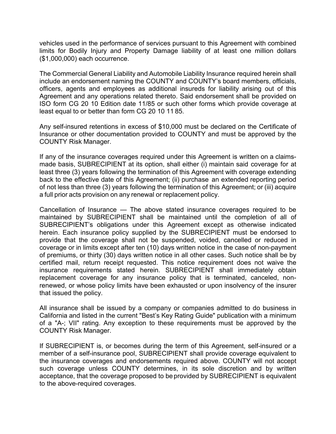vehicles used in the performance of services pursuant to this Agreement with combined limits for Bodily Injury and Property Damage liability of at least one million dollars (\$1,000,000) each occurrence.

The Commercial General Liability and Automobile Liability Insurance required herein shall include an endorsement naming the COUNTY and COUNTY's board members, officials, officers, agents and employees as additional insureds for liability arising out of this Agreement and any operations related thereto. Said endorsement shall be provided on ISO form CG 20 10 Edition date 11/85 or such other forms which provide coverage at least equal to or better than form CG 20 10 11 85.

Any self-insured retentions in excess of \$10,000 must be declared on the Certificate of Insurance or other documentation provided to COUNTY and must be approved by the COUNTY Risk Manager.

If any of the insurance coverages required under this Agreement is written on a claimsmade basis, SUBRECIPIENT at its option, shall either (i) maintain said coverage for at least three (3) years following the termination of this Agreement with coverage extending back to the effective date of this Agreement; (ii) purchase an extended reporting period of not less than three (3) years following the termination of this Agreement; or (iii) acquire a full prior acts provision on any renewal or replacement policy.

Cancellation of Insurance — The above stated insurance coverages required to be maintained by SUBRECIPIENT shall be maintained until the completion of all of SUBRECIPIENT's obligations under this Agreement except as otherwise indicated herein. Each insurance policy supplied by the SUBRECIPIENT must be endorsed to provide that the coverage shall not be suspended, voided, cancelled or reduced in coverage or in limits except after ten (10) days written notice in the case of non-payment of premiums, or thirty (30) days written notice in all other cases. Such notice shall be by certified mail, return receipt requested. This notice requirement does not waive the insurance requirements stated herein. SUBRECIPIENT shall immediately obtain replacement coverage for any insurance policy that is terminated, canceled, nonrenewed, or whose policy limits have been exhausted or upon insolvency of the insurer that issued the policy.

All insurance shall be issued by a company or companies admitted to do business in California and listed in the current "Best's Key Rating Guide" publication with a minimum of a "A-; VII" rating. Any exception to these requirements must be approved by the COUNTY Risk Manager.

If SUBRECIPIENT is, or becomes during the term of this Agreement, self-insured or a member of a self-insurance pool, SUBRECIPIENT shall provide coverage equivalent to the insurance coverages and endorsements required above. COUNTY will not accept such coverage unless COUNTY determines, in its sole discretion and by written acceptance, that the coverage proposed to be provided by SUBRECIPIENT is equivalent to the above-required coverages.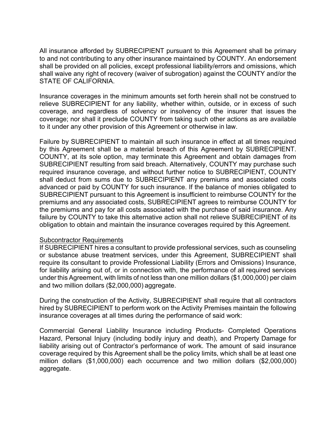All insurance afforded by SUBRECIPIENT pursuant to this Agreement shall be primary to and not contributing to any other insurance maintained by COUNTY. An endorsement shall be provided on all policies, except professional liability/errors and omissions, which shall waive any right of recovery (waiver of subrogation) against the COUNTY and/or the STATE OF CALIFORNIA.

Insurance coverages in the minimum amounts set forth herein shall not be construed to relieve SUBRECIPIENT for any liability, whether within, outside, or in excess of such coverage, and regardless of solvency or insolvency of the insurer that issues the coverage; nor shall it preclude COUNTY from taking such other actions as are available to it under any other provision of this Agreement or otherwise in law.

Failure by SUBRECIPIENT to maintain all such insurance in effect at all times required by this Agreement shall be a material breach of this Agreement by SUBRECIPIENT. COUNTY, at its sole option, may terminate this Agreement and obtain damages from SUBRECIPIENT resulting from said breach. Alternatively, COUNTY may purchase such required insurance coverage, and without further notice to SUBRECIPIENT, COUNTY shall deduct from sums due to SUBRECIPIENT any premiums and associated costs advanced or paid by COUNTY for such insurance. If the balance of monies obligated to SUBRECIPIENT pursuant to this Agreement is insufficient to reimburse COUNTY for the premiums and any associated costs, SUBRECIPIENT agrees to reimburse COUNTY for the premiums and pay for all costs associated with the purchase of said insurance. Any failure by COUNTY to take this alternative action shall not relieve SUBRECIPIENT of its obligation to obtain and maintain the insurance coverages required by this Agreement.

#### **Subcontractor Requirements**

If SUBRECIPIENT hires a consultant to provide professional services, such as counseling or substance abuse treatment services, under this Agreement, SUBRECIPIENT shall require its consultant to provide Professional Liability (Errors and Omissions) Insurance, for liability arising out of, or in connection with, the performance of all required services under this Agreement, with limits of not less than one million dollars (\$1,000,000) per claim and two million dollars (\$2,000,000) aggregate.

During the construction of the Activity, SUBRECIPIENT shall require that all contractors hired by SUBRECIPIENT to perform work on the Activity Premises maintain the following insurance coverages at all times during the performance of said work:

Commercial General Liability Insurance including Products- Completed Operations Hazard, Personal Injury (including bodily injury and death), and Property Damage for liability arising out of Contractor's performance of work. The amount of said insurance coverage required by this Agreement shall be the policy limits, which shall be at least one million dollars (\$1,000,000) each occurrence and two million dollars (\$2,000,000) aggregate.